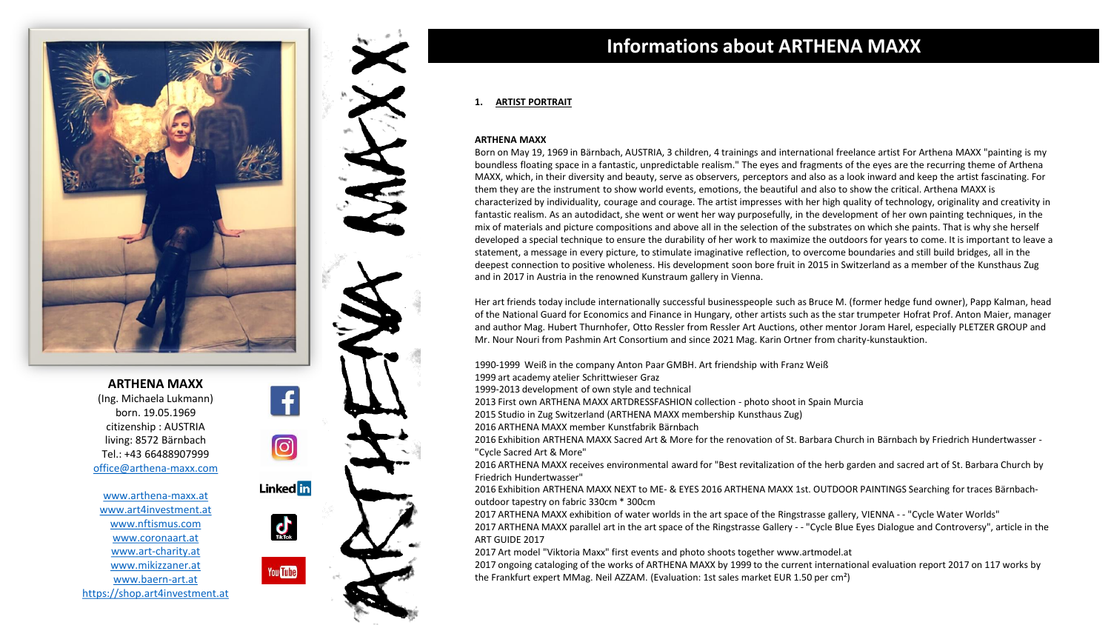



[www.arthena-maxx.at](http://www.arthena-maxx.at/) [www.art4investment.at](http://www.art4investment.at/) [www.nftismus.com](http://www.nftismus.com/) [www.coronaart.at](http://www.coronaart.at/) [www.art-charity.at](http://www.art-charity.at/) [www.mikizzaner.at](http://www.mikizzaner.at/) [www.baern-art.at](http://www.baern-art.at/) [https://shop.art4investment.at](http://shop.art4investment.at/)



## **Informations about ARTHENA MAXX**

### **1. ARTIST PORTRAIT**

#### **ARTHENA MAXX**

Born on May 19, 1969 in Bärnbach, AUSTRIA, 3 children, 4 trainings and international freelance artist For Arthena MAXX "painting is my boundless floating space in a fantastic, unpredictable realism." The eyes and fragments of the eyes are the recurring theme of Arthena MAXX, which, in their diversity and beauty, serve as observers, perceptors and also as a look inward and keep the artist fascinating. For them they are the instrument to show world events, emotions, the beautiful and also to show the critical. Arthena MAXX is characterized by individuality, courage and courage. The artist impresses with her high quality of technology, originality and creativity in fantastic realism. As an autodidact, she went or went her way purposefully, in the development of her own painting techniques, in the mix of materials and picture compositions and above all in the selection of the substrates on which she paints. That is why she herself developed a special technique to ensure the durability of her work to maximize the outdoors for years to come. It is important to leave a statement, a message in every picture, to stimulate imaginative reflection, to overcome boundaries and still build bridges, all in the deepest connection to positive wholeness. His development soon bore fruit in 2015 in Switzerland as a member of the Kunsthaus Zug and in 2017 in Austria in the renowned Kunstraum gallery in Vienna.

Her art friends today include internationally successful businesspeople such as Bruce M. (former hedge fund owner), Papp Kalman, head of the National Guard for Economics and Finance in Hungary, other artists such as the star trumpeter Hofrat Prof. Anton Maier, manager and author Mag. Hubert Thurnhofer, Otto Ressler from Ressler Art Auctions, other mentor Joram Harel, especially PLETZER GROUP and Mr. Nour Nouri from Pashmin Art Consortium and since 2021 Mag. Karin Ortner from charity-kunstauktion.

1990-1999 Weiß in the company Anton Paar GMBH. Art friendship with Franz Weiß

1999 art academy atelier Schrittwieser Graz

1999-2013 development of own style and technical

2013 First own ARTHENA MAXX ARTDRESSFASHION collection - photo shoot in Spain Murcia

2015 Studio in Zug Switzerland (ARTHENA MAXX membership Kunsthaus Zug)

2016 ARTHENA MAXX member Kunstfabrik Bärnbach

2016 Exhibition ARTHENA MAXX Sacred Art & More for the renovation of St. Barbara Church in Bärnbach by Friedrich Hundertwasser - "Cycle Sacred Art & More"

2016 ARTHENA MAXX receives environmental award for "Best revitalization of the herb garden and sacred art of St. Barbara Church by Friedrich Hundertwasser"

2016 Exhibition ARTHENA MAXX NEXT to ME- & EYES 2016 ARTHENA MAXX 1st. OUTDOOR PAINTINGS Searching for traces Bärnbachoutdoor tapestry on fabric 330cm \* 300cm

2017 ARTHENA MAXX exhibition of water worlds in the art space of the Ringstrasse gallery, VIENNA - - "Cycle Water Worlds" 2017 ARTHENA MAXX parallel art in the art space of the Ringstrasse Gallery - - "Cycle Blue Eyes Dialogue and Controversy", article in the ART GUIDE 2017

2017 Art model "Viktoria Maxx" first events and photo shoots together www.artmodel.at

2017 ongoing cataloging of the works of ARTHENA MAXX by 1999 to the current international evaluation report 2017 on 117 works by the Frankfurt expert MMag. Neil AZZAM. (Evaluation: 1st sales market EUR 1.50 per cm²)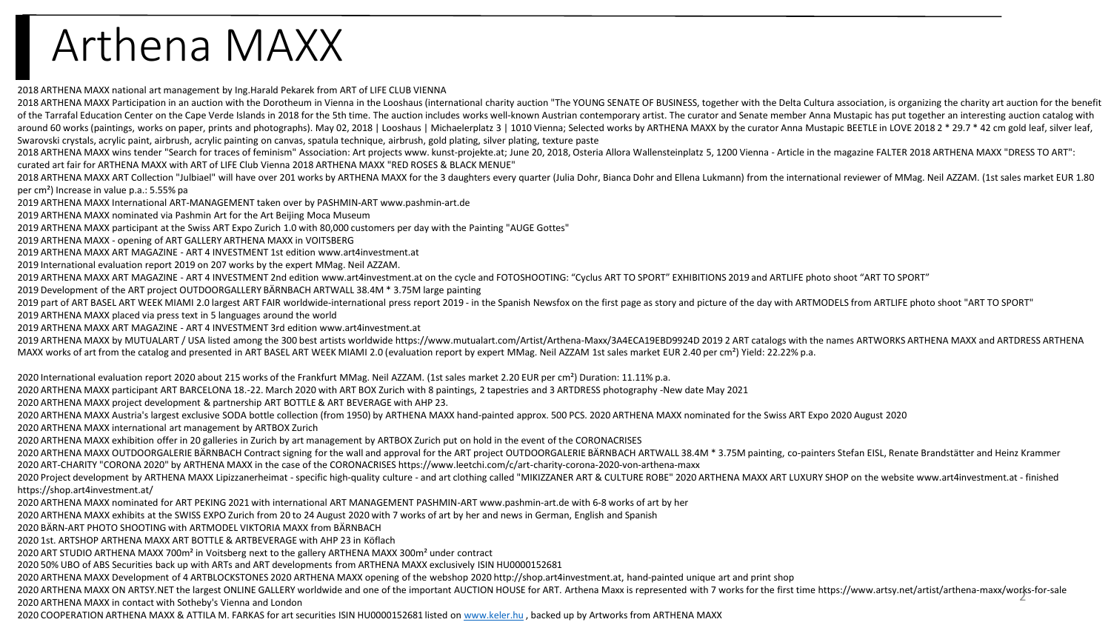# Arthena MAXX

2018 ARTHENA MAXX national art management by Ing.Harald Pekarek from ART of LIFE CLUB VIENNA

2018 ARTHENA MAXX Participation in an auction with the Dorotheum in Vienna in the Looshaus (international charity auction "The YOUNG SENATE OF BUSINESS, together with the Delta Cultura association, is organizing the charit of the Tarrafal Education Center on the Cape Verde Islands in 2018 for the 5th time. The auction includes works well-known Austrian contemporary artist. The curator and Senate member Anna Mustapic has put together an inter around 60 works (paintings, works on paper, prints and photographs). May 02, 2018 | Looshaus | Michaelerplatz 3 | 1010 Vienna; Selected works by ARTHENA MAXX by the curator Anna Mustapic BEETLE in LOVE 2018 2 \* 29.7 \* 42 c Swarovski crystals, acrylic paint, airbrush, acrylic painting on canvas, spatula technique, airbrush, gold plating, silver plating, texture paste

2018 ARTHENA MAXX wins tender "Search for traces of feminism" Association: Art projects www. kunst-projekte.at; June 20, 2018, Osteria Allora Wallensteinplatz 5, 1200 Vienna - Article in the magazine FALTER 2018 ARTHENA MA curated art fair for ARTHENA MAXX with ART of LIFE Club Vienna 2018 ARTHENA MAXX "RED ROSES & BLACK MENUE"

2018 ARTHENA MAXX ART Collection "Julbiael" will have over 201 works by ARTHENA MAXX for the 3 daughters every quarter (Julia Dohr. Bianca Dohr and Ellena Lukmann) from the international reviewer of MMag. Neil AZZAM. (1st per cm²) Increase in value p.a.: 5.55% pa

2019 ARTHENA MAXX International ART-MANAGEMENT taken over by PASHMIN-ART www.pashmin-art.de

2019 ARTHENA MAXX nominated via Pashmin Art for the Art Beijing Moca Museum

2019 ARTHENA MAXX participant at the Swiss ART Expo Zurich 1.0 with 80,000 customers per day with the Painting "AUGE Gottes"

2019 ARTHENA MAXX - opening of ART GALLERY ARTHENA MAXX in VOITSBERG

2019 ARTHENA MAXX ART MAGAZINE - ART 4 INVESTMENT 1st edition www.art4investment.at

2019 International evaluation report 2019 on 207 works by the expert MMag. Neil AZZAM.

2019 ARTHENA MAXX ART MAGAZINE - ART 4 INVESTMENT 2nd edition www.art4investment.at on the cycle and FOTOSHOOTING: "Cyclus ART TO SPORT" EXHIBITIONS 2019 and ARTLIFE photo shoot "ART TO SPORT"

2019 Development of the ART project OUTDOORGALLERY BÄRNBACH ARTWALL 38.4M \* 3.75M large painting

2019 part of ART BASEL ART WEEK MIAMI 2.0 largest ART FAIR worldwide-international press report 2019 - in the Spanish Newsfox on the first page as story and picture of the day with ARTMODELS from ARTLIFE photo shoot "ART T 2019 ARTHENA MAXX placed via press text in 5 languages around the world

2019 ARTHENA MAXX ART MAGAZINE - ART 4 INVESTMENT 3rd edition www.art4investment.at

2019 ARTHENA MAXX by MUTUALART / USA listed among the 300 best artists worldwide https://www.mutualart.com/Artist/Arthena-Maxx/3A4ECA19EBD9924D 2019 2 ART catalogs with the names ARTWORKS ARTHENA MAXX and ARTDRESS ARTHENA MAXX works of art from the catalog and presented in ART BASEL ART WEEK MIAMI 2.0 (evaluation report by expert MMag. Neil AZZAM 1st sales market EUR 2.40 per cm²) Yield: 22.22% p.a.

2020 International evaluation report 2020 about 215 works of the Frankfurt MMag. Neil AZZAM. (1st sales market 2.20 EUR per cm<sup>2</sup>) Duration: 11.11% p.a.

2020 ARTHENA MAXX participant ART BARCELONA 18.-22. March 2020 with ART BOX Zurich with 8 paintings, 2 tapestries and 3 ARTDRESS photography -New date May 2021

2020 ARTHENA MAXX project development & partnership ART BOTTLE & ART BEVERAGE with AHP 23.

2020 ARTHENA MAXX Austria's largest exclusive SODA bottle collection (from 1950) by ARTHENA MAXX hand-painted approx. 500 PCS. 2020 ARTHENA MAXX nominated for the Swiss ART Expo 2020 August 2020

2020 ARTHENA MAXX international art management by ARTBOX Zurich

2020 ARTHENA MAXX exhibition offer in 20 galleries in Zurich by art management by ARTBOX Zurich put on hold in the event of the CORONACRISES

2020 ARTHENA MAXX OUTDOORGALERIE BÄRNBACH Contract signing for the wall and approval for the ART project OUTDOORGALERIE BÄRNBACH ARTWALL 38.4M \* 3.75M painting, co-painters Stefan EISL, Renate Brandstätter and Heinz Kramme 2020 ART-CHARITY "CORONA 2020" by ARTHENA MAXX in the case of the CORONACRISES https://www.leetchi.com/c/art-charity-corona-2020-von-arthena-maxx

2020 Project development by ARTHENA MAXX Lipizzanerheimat - specific high-quality culture - and art clothing called "MIKIZZANER ART & CULTURE ROBE" 2020 ARTHENA MAXX ART LUXURY SHOP on the website www.art4investment.at - f https://shop.art4investment.at/

2020 ARTHENA MAXX nominated for ART PEKING 2021 with international ART MANAGEMENT PASHMIN-ART www.pashmin-art.de with 6-8 works of art by her

2020 ARTHENA MAXX exhibits at the SWISS EXPO Zurich from 20 to 24 August 2020 with 7 works of art by her and news in German, English and Spanish

2020 BÄRN-ART PHOTO SHOOTING with ARTMODEL VIKTORIA MAXX from BÄRNBACH

2020 1st. ARTSHOP ARTHENA MAXX ART BOTTLE & ARTBEVERAGE with AHP 23 in Köflach

2020 ART STUDIO ARTHENA MAXX 700m² in Voitsberg next to the gallery ARTHENA MAXX 300m² under contract

2020 50% UBO of ABS Securities back up with ARTs and ART developments from ARTHENA MAXX exclusively ISIN HU0000152681

2020 ARTHENA MAXX Development of 4 ARTBLOCKSTONES 2020 ARTHENA MAXX opening of the webshop 2020 http://shop.art4investment.at, hand-painted unique art and print shop

2020 ARTHENA MAXX ON ARTSY.NET the largest ONLINE GALLERY worldwide and one of the important AUCTION HOUSE for ART. Arthena Maxx is represented with 7 works for the first time https://www.artsy.net/artist/arthena-maxx/wor 2020 ARTHENA MAXX in contact with Sotheby's Vienna and London

2020 COOPERATION ARTHENA MAXX & ATTILA M. FARKAS for art securities ISIN HU0000152681 listed on [www.keler.hu](http://www.keler.hu/) , backed up by Artworks from ARTHENA MAXX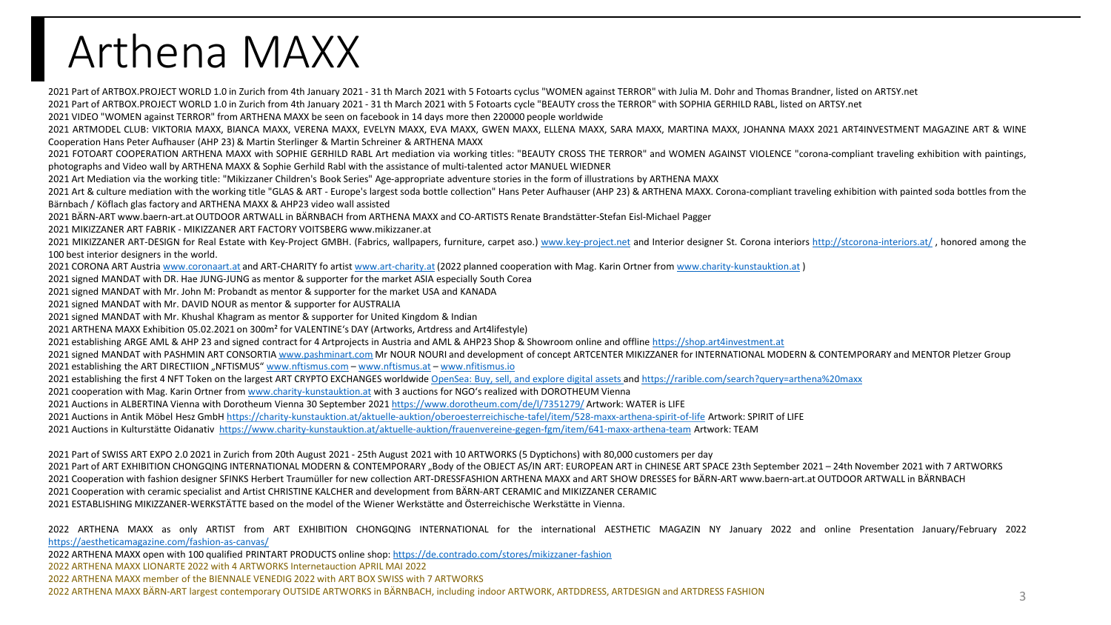# Arthena MAXX

Part of ARTBOX.PROJECT WORLD 1.0 in Zurich from 4th January 2021 - 31 th March 2021 with 5 Fotoarts cyclus "WOMEN against TERROR" with Julia M. Dohr and Thomas Brandner, listed on ARTSY.net

Part of ARTBOX.PROJECT WORLD 1.0 in Zurich from 4th January 2021 - 31 th March 2021 with 5 Fotoarts cycle "BEAUTY cross the TERROR" with SOPHIA GERHILD RABL, listed on ARTSY.net

VIDEO "WOMEN against TERROR" from ARTHENA MAXX be seen on facebook in 14 days more then 220000 people worldwide

 ARTMODEL CLUB: VIKTORIA MAXX, BIANCA MAXX, VERENA MAXX, EVELYN MAXX, EVA MAXX, GWEN MAXX, ELLENA MAXX, SARA MAXX, MARTINA MAXX, JOHANNA MAXX 2021 ART4INVESTMENT MAGAZINE ART & WINE Cooperation Hans Peter Aufhauser (AHP 23) & Martin Sterlinger & Martin Schreiner & ARTHENA MAXX

 FOTOART COOPERATION ARTHENA MAXX with SOPHIE GERHILD RABL Art mediation via working titles: "BEAUTY CROSS THE TERROR" and WOMEN AGAINST VIOLENCE "corona-compliant traveling exhibition with paintings, photographs and Video wall by ARTHENA MAXX & Sophie Gerhild Rabl with the assistance of multi-talented actor MANUEL WIEDNER

Art Mediation via the working title: "Mikizzaner Children's Book Series" Age-appropriate adventure stories in the form of illustrations by ARTHENA MAXX

2021 Art & culture mediation with the working title "GLAS & ART - Europe's largest soda bottle collection" Hans Peter Aufhauser (AHP 23) & ARTHENA MAXX. Corona-compliant traveling exhibition with painted soda bottles from Bärnbach / Köflach glas factory and ARTHENA MAXX & AHP23 video wall assisted

BÄRN-ART www.baern-art.at OUTDOOR ARTWALL in BÄRNBACH from ARTHENA MAXX and CO-ARTISTS Renate Brandstätter-Stefan Eisl-Michael Pagger

MIKIZZANER ART FABRIK - MIKIZZANER ART FACTORY VOITSBERG www.mikizzaner.at

2021 MIKIZZANER ART-DESIGN for Real Estate with Key-Project GMBH. (Fabrics, wallpapers, furniture, carpet aso.) [www.key-project.net](http://www.key-project.net/) and Interior designer St. Corona interiors <http://stcorona-interiors.at/>, honored among th best interior designers in the world.

CORONA ART Austria [www.coronaart.at](http://www.coronaart.at/) and ART-CHARITY fo artist [www.art-charity.at](http://www.art-charity.at/) (2022 planned cooperation with Mag. Karin Ortner from [www.charity-kunstauktion.at](http://www.charity-kunstauktion.at/) )

signed MANDAT with DR. Hae JUNG-JUNG as mentor & supporter for the market ASIA especially South Corea

signed MANDAT with Mr. John M: Probandt as mentor & supporter for the market USA and KANADA

signed MANDAT with Mr. DAVID NOUR as mentor & supporter for AUSTRALIA

signed MANDAT with Mr. Khushal Khagram as mentor & supporter for United Kingdom & Indian

ARTHENA MAXX Exhibition 05.02.2021 on 300m² for VALENTINE's DAY (Artworks, Artdress and Art4lifestyle)

establishing ARGE AML & AHP 23 and signed contract for 4 Artprojects in Austria and AML & AHP23 Shop & Showroom online and offline [https://shop.art4investment.at](https://shop.art4investment.at/)

2021 signed MANDAT with PASHMIN ART CONSORTIA [www.pashminart.com](http://www.pashminart.com/) Mr NOUR NOURI and development of concept ARTCENTER MIKIZZANER for INTERNATIONAL MODERN & CONTEMPORARY and MENTOR Pletzer Group

2021 establishing the ART DIRECTIION "NFTISMUS" [www.nftismus.com](http://www.nftismus.com/) – [www.nftismus.at](http://www.nftismus.at/) – [www.nfitismus.io](http://www.nfitismus.io/)

2021 establishing the first 4 NFT Token on the largest ART CRYPTO EXCHANGES worldwide [OpenSea: Buy, sell, and explore digital assets a](https://opensea.io/assets?search%5bquery%5d=arthena%20maxx)nd<https://rarible.com/search?query=arthena%20maxx>

cooperation with Mag. Karin Ortner from [www.charity-kunstauktion.at](http://www.charity-kunstauktion.at/) with 3 auctions for NGO's realized with DOROTHEUM Vienna

Auctions in ALBERTINA Vienna with Dorotheum Vienna 30 September 2021 <https://www.dorotheum.com/de/l/7351279/> Artwork: WATER is LIFE

2021 Auctions in Antik Möbel Hesz GmbH <https://charity-kunstauktion.at/aktuelle-auktion/oberoesterreichische-tafel/item/528-maxx-arthena-spirit-of-life> Artwork: SPIRIT of LIFE

Auctions in Kulturstätte Oidanativ <https://www.charity-kunstauktion.at/aktuelle-auktion/frauenvereine-gegen-fgm/item/641-maxx-arthena-team> Artwork: TEAM

Part of SWISS ART EXPO 2.0 2021 in Zurich from 20th August 2021 - 25th August 2021 with 10 ARTWORKS (5 Dyptichons) with 80,000 customers per day

2021 Part of ART EXHIBITION CHONGQING INTERNATIONAL MODERN & CONTEMPORARY "Body of the OBJECT AS/IN ART: EUROPEAN ART in CHINESE ART SPACE 23th September 2021 – 24th November 2021 with 7 ARTWORKS Cooperation with fashion designer SFINKS Herbert Traumüller for new collection ART-DRESSFASHION ARTHENA MAXX and ART SHOW DRESSES for BÄRN-ART www.baern-art.at OUTDOOR ARTWALL in BÄRNBACH

Cooperation with ceramic specialist and Artist CHRISTINE KALCHER and development from BÄRN-ART CERAMIC and MIKIZZANER CERAMIC

ESTABLISHING MIKIZZANER-WERKSTÄTTE based on the model of the Wiener Werkstätte and Österreichische Werkstätte in Vienna.

 ARTHENA MAXX as only ARTIST from ART EXHIBITION CHONGQING INTERNATIONAL for the international AESTHETIC MAGAZIN NY January 2022 and online Presentation January/February 2022 <https://aestheticamagazine.com/fashion-as-canvas/>

ARTHENA MAXX open with 100 qualified PRINTART PRODUCTS online shop: <https://de.contrado.com/stores/mikizzaner-fashion>

ARTHENA MAXX LIONARTE 2022 with 4 ARTWORKS Internetauction APRIL MAI 2022

ARTHENA MAXX member of the BIENNALE VENEDIG 2022 with ART BOX SWISS with 7 ARTWORKS

ARTHENA MAXX BÄRN-ART largest contemporary OUTSIDE ARTWORKS in BÄRNBACH, including indoor ARTWORK, ARTDDRESS, ARTDESIGN and ARTDRESS FASHION